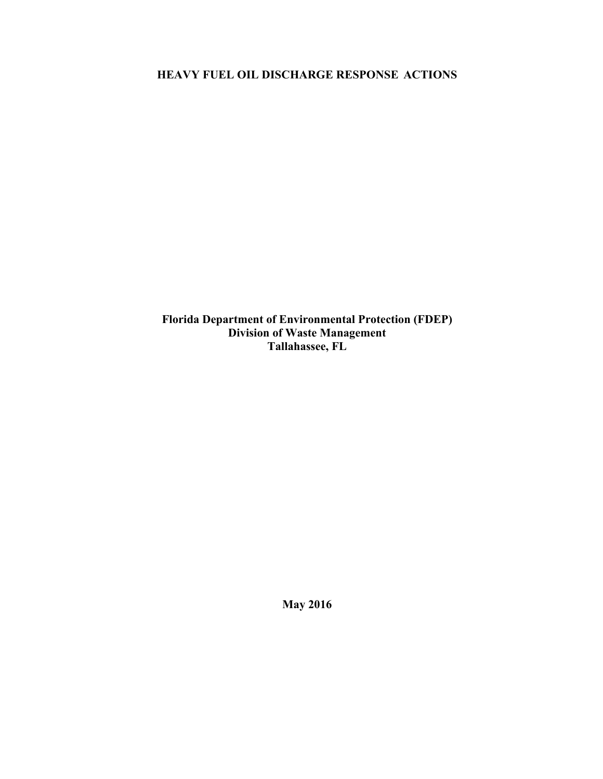## **HEAVY FUEL OIL DISCHARGE RESPONSE ACTIONS**

**Florida Department of Environmental Protection (FDEP) Division of Waste Management Tallahassee, FL** 

**May 2016**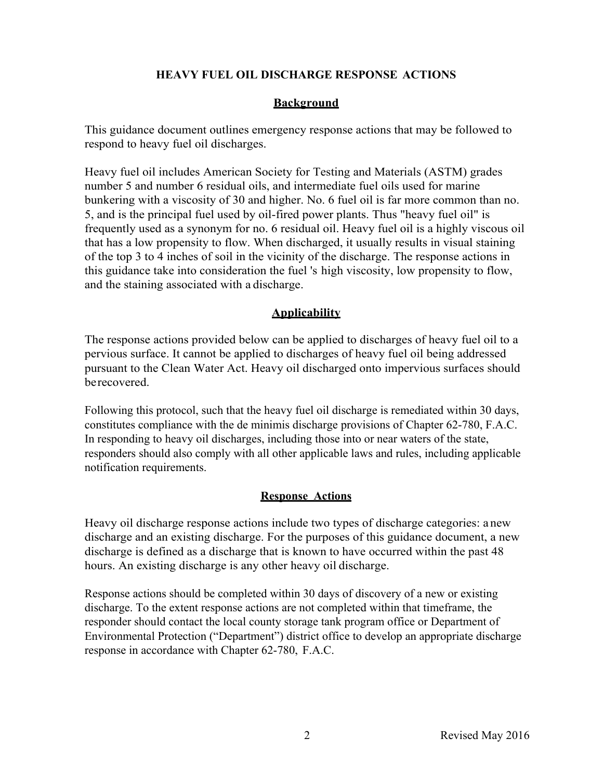### **HEAVY FUEL OIL DISCHARGE RESPONSE ACTIONS**

### **Background**

This guidance document outlines emergency response actions that may be followed to respond to heavy fuel oil discharges.

Heavy fuel oil includes American Society for Testing and Materials (ASTM) grades number 5 and number 6 residual oils, and intermediate fuel oils used for marine bunkering with a viscosity of 30 and higher. No. 6 fuel oil is far more common than no. 5, and is the principal fuel used by oil-fired power plants. Thus "heavy fuel oil" is frequently used as a synonym for no. 6 residual oil. Heavy fuel oil is a highly viscous oil that has a low propensity to flow. When discharged, it usually results in visual staining of the top 3 to 4 inches of soil in the vicinity of the discharge. The response actions in this guidance take into consideration the fuel 's high viscosity, low propensity to flow, and the staining associated with a discharge.

## **Applicability**

The response actions provided below can be applied to discharges of heavy fuel oil to a pervious surface. It cannot be applied to discharges of heavy fuel oil being addressed pursuant to the Clean Water Act. Heavy oil discharged onto impervious surfaces should be recovered.

Following this protocol, such that the heavy fuel oil discharge is remediated within 30 days, constitutes compliance with the de minimis discharge provisions of Chapter 62-780, F.A.C. In responding to heavy oil discharges, including those into or near waters of the state, responders should also comply with all other applicable laws and rules, including applicable notification requirements.

### **Response Actions**

Heavy oil discharge response actions include two types of discharge categories: a new discharge and an existing discharge. For the purposes of this guidance document, a new discharge is defined as a discharge that is known to have occurred within the past 48 hours. An existing discharge is any other heavy oil discharge.

Response actions should be completed within 30 days of discovery of a new or existing discharge. To the extent response actions are not completed within that timeframe, the responder should contact the local county storage tank program office or Department of Environmental Protection ("Department") district office to develop an appropriate discharge response in accordance with Chapter 62-780, F.A.C.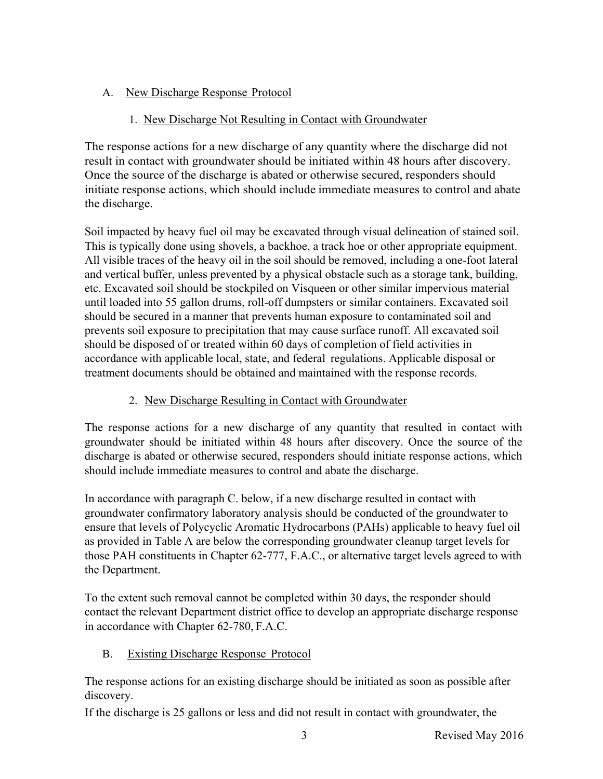# A. New Discharge Response Protocol

# 1. New Discharge Not Resulting in Contact with Groundwater

The response actions for a new discharge of any quantity where the discharge did not result in contact with groundwater should be initiated within 48 hours after discovery. Once the source of the discharge is abated or otherwise secured, responders should initiate response actions, which should include immediate measures to control and abate the discharge.

Soil impacted by heavy fuel oil may be excavated through visual delineation of stained soil. This is typically done using shovels, a backhoe, a track hoe or other appropriate equipment. All visible traces of the heavy oil in the soil should be removed, including a one-foot lateral and vertical buffer, unless prevented by a physical obstacle such as a storage tank, building, etc. Excavated soil should be stockpiled on Visqueen or other similar impervious material until loaded into 55 gallon drums, roll-off dumpsters or similar containers. Excavated soil should be secured in a manner that prevents human exposure to contaminated soil and prevents soil exposure to precipitation that may cause surface runoff. All excavated soil should be disposed of or treated within 60 days of completion of field activities in accordance with applicable local, state, and federal regulations. Applicable disposal or treatment documents should be obtained and maintained with the response records.

## 2. New Discharge Resulting in Contact with Groundwater

 The response actions for a new discharge of any quantity that resulted in contact with groundwater should be initiated within 48 hours after discovery. Once the source of the discharge is abated or otherwise secured, responders should initiate response actions, which should include immediate measures to control and abate the discharge.

 groundwater confirmatory laboratory analysis should be conducted of the groundwater to In accordance with paragraph C. below, if a new discharge resulted in contact with ensure that levels of Polycyclic Aromatic Hydrocarbons (PAHs) applicable to heavy fuel oil as provided in Table A are below the corresponding groundwater cleanup target levels for those PAH constituents in Chapter 62-777, F.A.C., or alternative target levels agreed to with the Department.

To the extent such removal cannot be completed within 30 days, the responder should contact the relevant Department district office to develop an appropriate discharge response in accordance with Chapter 62-780, F.A.C.

# B. Existing Discharge Response Protocol

The response actions for an existing discharge should be initiated as soon as possible after discovery.

If the discharge is 25 gallons or less and did not result in contact with groundwater, the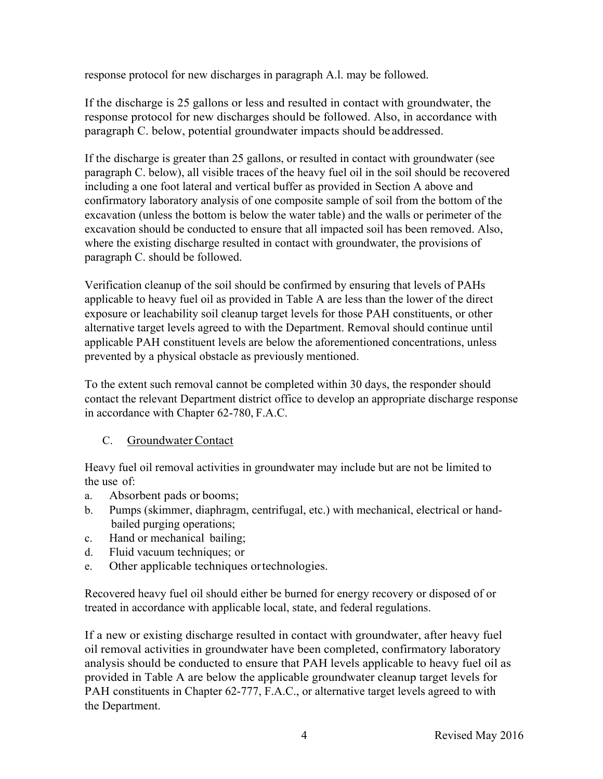response protocol for new discharges in paragraph A.l. may be followed.

 If the discharge is 25 gallons or less and resulted in contact with groundwater, the response protocol for new discharges should be followed. Also, in accordance with paragraph C. below, potential groundwater impacts should be addressed.

 If the discharge is greater than 25 gallons, or resulted in contact with groundwater (see paragraph C. below), all visible traces of the heavy fuel oil in the soil should be recovered including a one foot lateral and vertical buffer as provided in Section A above and confirmatory laboratory analysis of one composite sample of soil from the bottom of the excavation (unless the bottom is below the water table) and the walls or perimeter of the excavation should be conducted to ensure that all impacted soil has been removed. Also, where the existing discharge resulted in contact with groundwater, the provisions of paragraph C. should be followed.

Verification cleanup of the soil should be confirmed by ensuring that levels of PAHs applicable to heavy fuel oil as provided in Table A are less than the lower of the direct exposure or leachability soil cleanup target levels for those PAH constituents, or other alternative target levels agreed to with the Department. Removal should continue until applicable PAH constituent levels are below the aforementioned concentrations, unless prevented by a physical obstacle as previously mentioned.

To the extent such removal cannot be completed within 30 days, the responder should contact the relevant Department district office to develop an appropriate discharge response in accordance with Chapter 62-780, F.A.C.

### C. Groundwater Contact

Heavy fuel oil removal activities in groundwater may include but are not be limited to the use of:

- a. Absorbent pads or booms;
- b. Pumps (skimmer, diaphragm, centrifugal, etc.) with mechanical, electrical or handbailed purging operations;
- c. Hand or mechanical bailing;
- d. Fluid vacuum techniques; or
- e. Other applicable techniques or technologies.

Recovered heavy fuel oil should either be burned for energy recovery or disposed of or treated in accordance with applicable local, state, and federal regulations.

 If a new or existing discharge resulted in contact with groundwater, after heavy fuel oil removal activities in groundwater have been completed, confirmatory laboratory analysis should be conducted to ensure that PAH levels applicable to heavy fuel oil as provided in Table A are below the applicable groundwater cleanup target levels for PAH constituents in Chapter 62-777, F.A.C., or alternative target levels agreed to with the Department.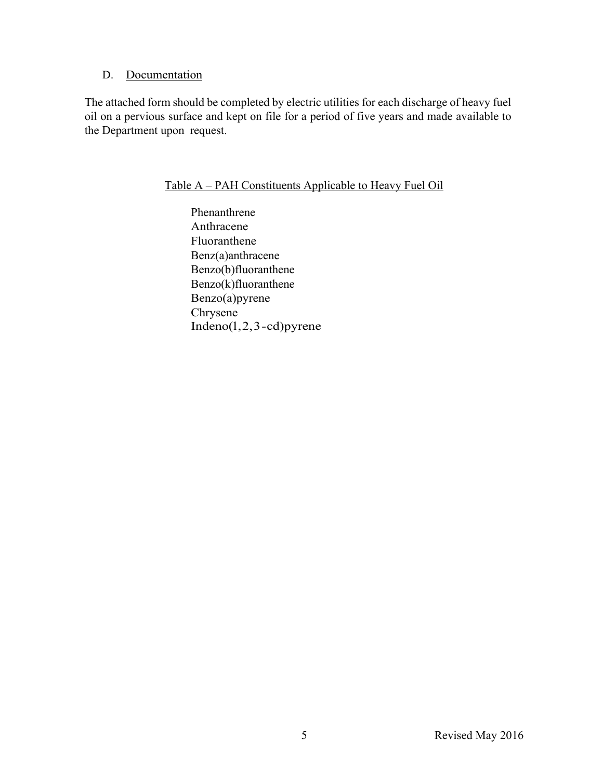#### D. Documentation

The attached form should be completed by electric utilities for each discharge of heavy fuel oil on a pervious surface and kept on file for a period of five years and made available to the Department upon request.

#### Table A – PAH Constituents Applicable to Heavy Fuel Oil

Phenanthrene Anthracene Fluoranthene Benz(a)anthracene Benzo(b)fluoranthene Benzo(k)fluoranthene Benzo(a)pyrene Chrysene  $Indeno(1, 2, 3-cd)pyrene$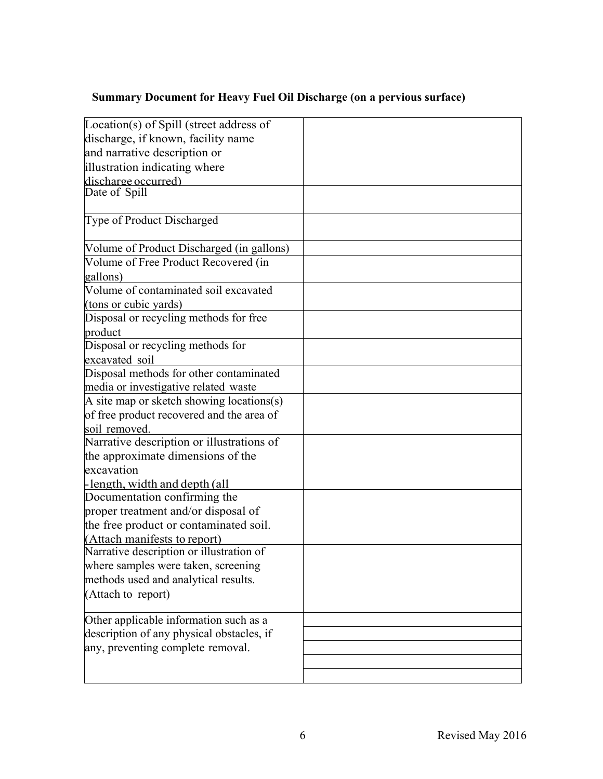#### **Summary Document for Heavy Fuel Oil Discharge (on a pervious surface)**

| Location(s) of Spill (street address of   |  |
|-------------------------------------------|--|
| discharge, if known, facility name        |  |
| and narrative description or              |  |
| illustration indicating where             |  |
| discharge occurred)                       |  |
| Date of Spill                             |  |
|                                           |  |
| Type of Product Discharged                |  |
|                                           |  |
| Volume of Product Discharged (in gallons) |  |
| Volume of Free Product Recovered (in      |  |
| gallons)                                  |  |
| Volume of contaminated soil excavated     |  |
| (tons or cubic yards)                     |  |
| Disposal or recycling methods for free    |  |
| product                                   |  |
| Disposal or recycling methods for         |  |
| excavated soil                            |  |
| Disposal methods for other contaminated   |  |
| media or investigative related waste      |  |
| A site map or sketch showing locations(s) |  |
| of free product recovered and the area of |  |
| soil removed.                             |  |
| Narrative description or illustrations of |  |
| the approximate dimensions of the         |  |
| excavation                                |  |
| -length, width and depth (all             |  |
| Documentation confirming the              |  |
| proper treatment and/or disposal of       |  |
| the free product or contaminated soil.    |  |
| (Attach manifests to report)              |  |
| Narrative description or illustration of  |  |
| where samples were taken, screening       |  |
| methods used and analytical results.      |  |
| (Attach to report)                        |  |
| Other applicable information such as a    |  |
| description of any physical obstacles, if |  |
| any, preventing complete removal.         |  |
|                                           |  |
|                                           |  |
|                                           |  |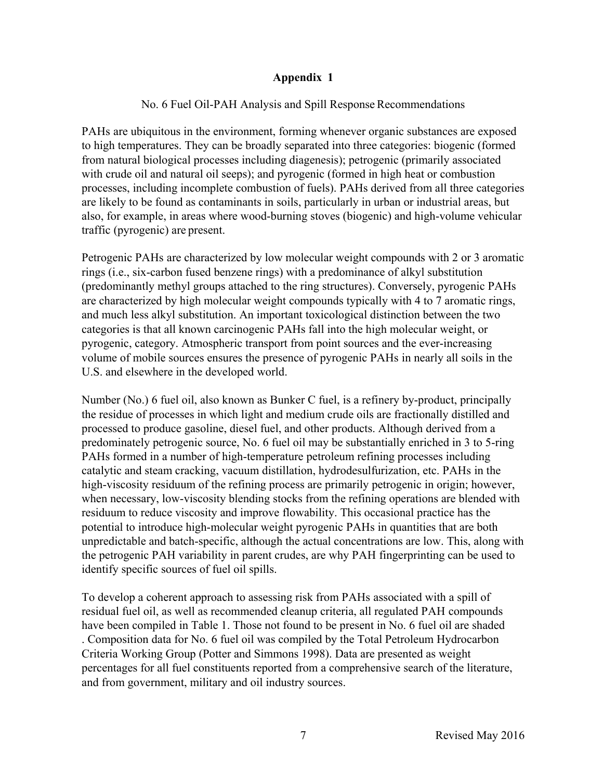### **Appendix 1**

### No. 6 Fuel Oil-PAH Analysis and Spill Response Recommendations

PAHs are ubiquitous in the environment, forming whenever organic substances are exposed to high temperatures. They can be broadly separated into three categories: biogenic (formed from natural biological processes including diagenesis); petrogenic (primarily associated with crude oil and natural oil seeps); and pyrogenic (formed in high heat or combustion processes, including incomplete combustion of fuels). PAHs derived from all three categories are likely to be found as contaminants in soils, particularly in urban or industrial areas, but also, for example, in areas where wood-burning stoves (biogenic) and high-volume vehicular traffic (pyrogenic) are present.

Petrogenic PAHs are characterized by low molecular weight compounds with 2 or 3 aromatic rings (i.e., six-carbon fused benzene rings) with a predominance of alkyl substitution (predominantly methyl groups attached to the ring structures). Conversely, pyrogenic PAHs are characterized by high molecular weight compounds typically with 4 to 7 aromatic rings, and much less alkyl substitution. An important toxicological distinction between the two categories is that all known carcinogenic PAHs fall into the high molecular weight, or pyrogenic, category. Atmospheric transport from point sources and the ever-increasing volume of mobile sources ensures the presence of pyrogenic PAHs in nearly all soils in the U.S. and elsewhere in the developed world.

Number (No.) 6 fuel oil, also known as Bunker C fuel, is a refinery by-product, principally the residue of processes in which light and medium crude oils are fractionally distilled and processed to produce gasoline, diesel fuel, and other products. Although derived from a predominately petrogenic source, No. 6 fuel oil may be substantially enriched in 3 to 5-ring PAHs formed in a number of high-temperature petroleum refining processes including catalytic and steam cracking, vacuum distillation, hydrodesulfurization, etc. PAHs in the high-viscosity residuum of the refining process are primarily petrogenic in origin; however, when necessary, low-viscosity blending stocks from the refining operations are blended with residuum to reduce viscosity and improve flowability. This occasional practice has the potential to introduce high-molecular weight pyrogenic PAHs in quantities that are both unpredictable and batch-specific, although the actual concentrations are low. This, along with the petrogenic PAH variability in parent crudes, are why PAH fingerprinting can be used to identify specific sources of fuel oil spills.

 To develop a coherent approach to assessing risk from PAHs associated with a spill of residual fuel oil, as well as recommended cleanup criteria, all regulated PAH compounds have been compiled in Table 1. Those not found to be present in No. 6 fuel oil are shaded . Composition data for No. 6 fuel oil was compiled by the Total Petroleum Hydrocarbon Criteria Working Group (Potter and Simmons 1998). Data are presented as weight percentages for all fuel constituents reported from a comprehensive search of the literature, and from government, military and oil industry sources.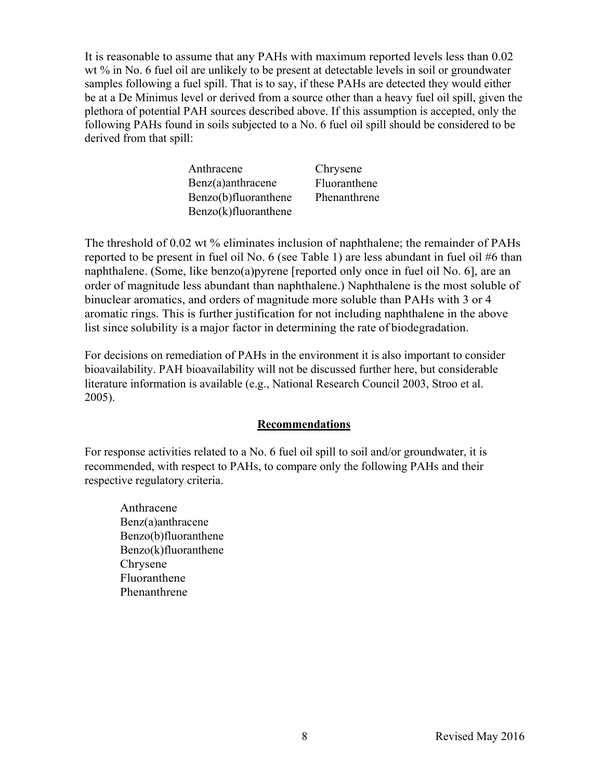plethora of potential PAH sources described above. If this assumption is accepted, only the It is reasonable to assume that any PAHs with maximum reported levels less than 0.02 wt % in No. 6 fuel oil are unlikely to be present at detectable levels in soil or groundwater samples following a fuel spill. That is to say, if these PAHs are detected they would either be at a De Minimus level or derived from a source other than a heavy fuel oil spill, given the following PAHs found in soils subjected to a No. 6 fuel oil spill should be considered to be derived from that spill:

| Anthracene              | Chrysene     |
|-------------------------|--------------|
| Benz(a)anthracene       | Fluoranthene |
| Benzo(b)fluoranthene    | Phenanthrene |
| $Benzo(k)$ fluoranthene |              |

 list since solubility is a major factor in determining the rate of biodegradation. The threshold of 0.02 wt % eliminates inclusion of naphthalene; the remainder of PAHs reported to be present in fuel oil No. 6 (see Table 1) are less abundant in fuel oil #6 than naphthalene. (Some, like benzo(a)pyrene [reported only once in fuel oil No. 6], are an order of magnitude less abundant than naphthalene.) Naphthalene is the most soluble of binuclear aromatics, and orders of magnitude more soluble than PAHs with 3 or 4 aromatic rings. This is further justification for not including naphthalene in the above

For decisions on remediation of PAHs in the environment it is also important to consider bioavailability. PAH bioavailability will not be discussed further here, but considerable literature information is available (e.g., National Research Council 2003, Stroo et al. 2005).

### **Recommendations**

For response activities related to a No. 6 fuel oil spill to soil and/or groundwater, it is recommended, with respect to PAHs, to compare only the following PAHs and their respective regulatory criteria.

Anthracene Benz(a)anthracene Benzo(b)fluoranthene Benzo(k)fluoranthene Chrysene Fluoranthene Phenanthrene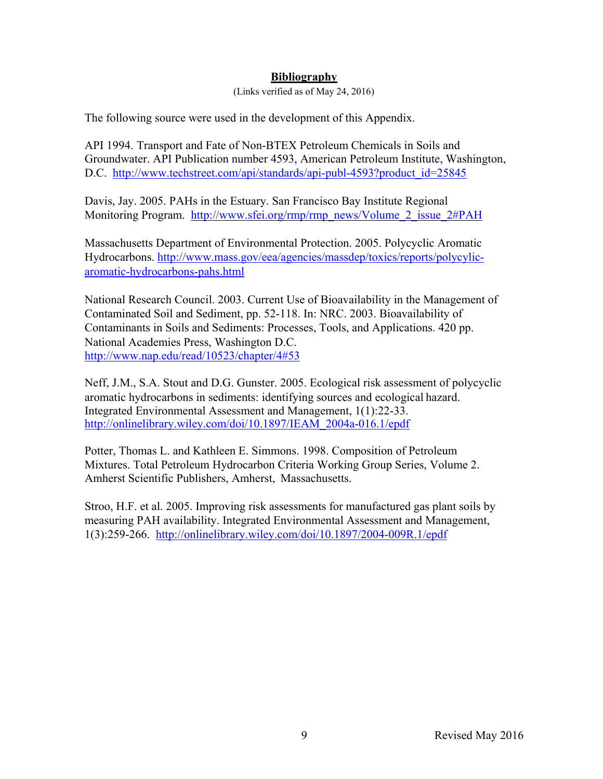#### **Bibliography**

(Links verified as of May 24, 2016)

The following source were used in the development of this Appendix.

 API 1994. Transport and Fate of Non-BTEX Petroleum Chemicals in Soils and Groundwater. API Publication number 4593, American Petroleum Institute, Washington, D.C. http://www.techstreet.com/api/standards/api-publ-4593?product\_id=25845

 Davis, Jay. 2005. PAHs in the Estuary. San Francisco Bay Institute Regional Monitoring Program. http://www.sfei.org/rmp/rmp\_news/Volume\_2\_issue\_2#PAH

Massachusetts Department of Environmental Protection. 2005. Polycyclic Aromatic Hydrocarbons. http://www.mass.gov/eea/agencies/massdep/toxics/reports/polycylicaromatic-hydrocarbons-pahs.html

National Research Council. 2003. Current Use of Bioavailability in the Management of Contaminated Soil and Sediment, pp. 52-118. In: NRC. 2003. Bioavailability of Contaminants in Soils and Sediments: Processes, Tools, and Applications. 420 pp. National Academies Press, Washington D.C. http://www.nap.edu/read/10523/chapter/4#53

Neff, J.M., S.A. Stout and D.G. Gunster. 2005. Ecological risk assessment of polycyclic aromatic hydrocarbons in sediments: identifying sources and ecological hazard. Integrated Environmental Assessment and Management, 1(1):22-33. http://onlinelibrary.wiley.com/doi/10.1897/IEAM\_2004a-016.1/epdf

Potter, Thomas L. and Kathleen E. Simmons. 1998. Composition of Petroleum Mixtures. Total Petroleum Hydrocarbon Criteria Working Group Series, Volume 2. Amherst Scientific Publishers, Amherst, Massachusetts.

Stroo, H.F. et al. 2005. Improving risk assessments for manufactured gas plant soils by measuring PAH availability. Integrated Environmental Assessment and Management, 1(3):259-266. http://onlinelibrary.wiley.com/doi/10.1897/2004-009R.1/epdf